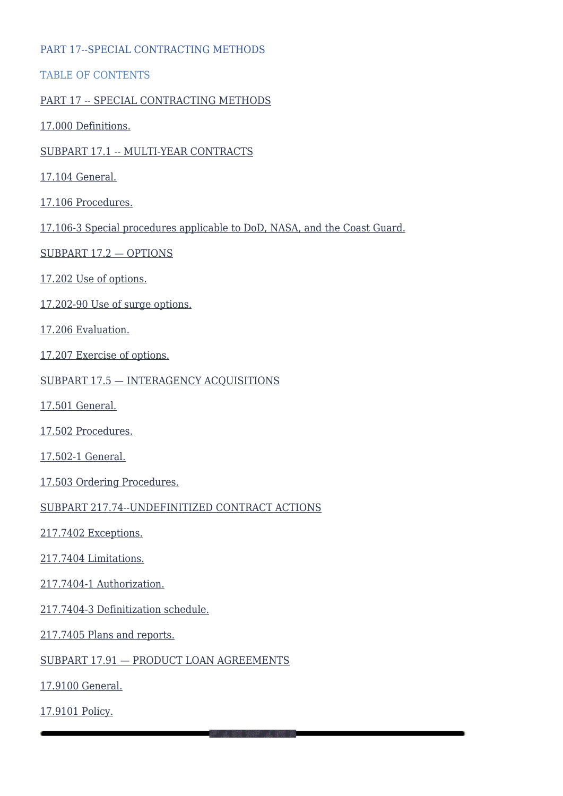#### PART 17--SPECIAL CONTRACTING METHODS

TABLE OF CONTENTS

#### [PART 17 -- SPECIAL CONTRACTING METHODS](#page--1-0)

[17.000 Definitions.](#page--1-0)

#### [SUBPART 17.1 -- MULTI-YEAR CONTRACTS](#page--1-0)

- [17.104 General.](#page--1-0)
- [17.106 Procedures.](#page--1-0)
- [17.106-3 Special procedures applicable to DoD, NASA, and the Coast Guard.](#page--1-0)
- [SUBPART 17.2 OPTIONS](#page--1-0)
- [17.202 Use of options.](#page--1-0)
- [17.202-90 Use of surge options.](#page--1-0)
- [17.206 Evaluation.](#page--1-0)
- [17.207 Exercise of options.](#page--1-0)
- [SUBPART 17.5 INTERAGENCY ACQUISITIONS](#page--1-0)
- [17.501 General.](#page--1-0)
- [17.502 Procedures.](#page--1-0)
- [17.502-1 General.](#page--1-0)
- [17.503 Ordering Procedures.](#page--1-0)
- [SUBPART 217.74--UNDEFINITIZED CONTRACT ACTIONS](#page--1-0)
- [217.7402 Exceptions.](#page--1-0)
- [217.7404 Limitations.](#page--1-0)
- [217.7404-1 Authorization.](#page--1-0)
- [217.7404-3 Definitization schedule.](#page--1-0)
- [217.7405 Plans and reports.](#page--1-0)
- [SUBPART 17.91 PRODUCT LOAN AGREEMENTS](#page--1-0)
- [17.9100 General.](#page--1-0)
- [17.9101 Policy.](#page--1-0)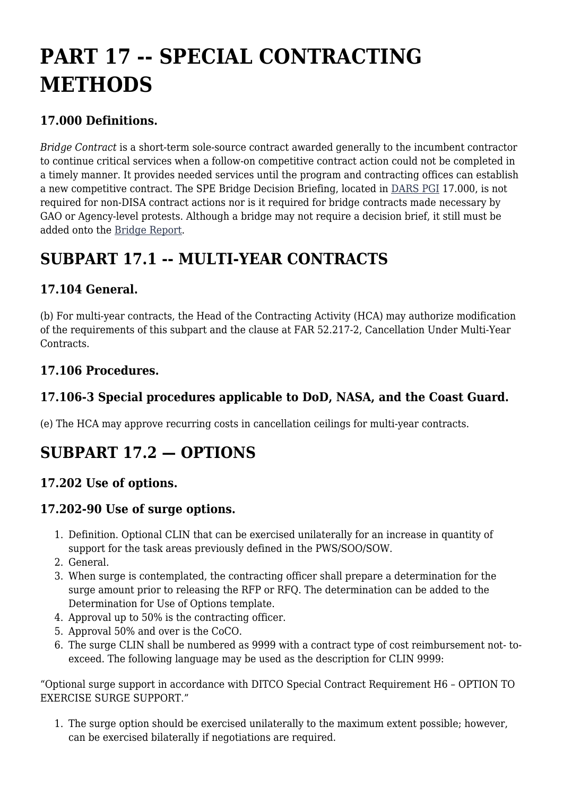# **PART 17 -- SPECIAL CONTRACTING METHODS**

#### **17.000 Definitions.**

*Bridge Contract* is a short-term sole-source contract awarded generally to the incumbent contractor to continue critical services when a follow-on competitive contract action could not be completed in a timely manner. It provides needed services until the program and contracting offices can establish a new competitive contract. The SPE Bridge Decision Briefing, located in [DARS PGI](https://disa.deps.mil/org/PL2/Pages/DITCORefs.aspx) 17.000, is not required for non-DISA contract actions nor is it required for bridge contracts made necessary by GAO or Agency-level protests. Although a bridge may not require a decision brief, it still must be added onto the [Bridge Report](https://disa.deps.mil/org/PL2/Lists/BridgeChart/AllItems.aspx).

# **SUBPART 17.1 -- MULTI-YEAR CONTRACTS**

#### **17.104 General.**

(b) For multi-year contracts, the Head of the Contracting Activity (HCA) may authorize modification of the requirements of this subpart and the clause at FAR 52.217-2, Cancellation Under Multi-Year Contracts.

#### **17.106 Procedures.**

## **17.106-3 Special procedures applicable to DoD, NASA, and the Coast Guard.**

(e) The HCA may approve recurring costs in cancellation ceilings for multi-year contracts.

# **SUBPART 17.2 — OPTIONS**

## **17.202 Use of options.**

#### **17.202-90 Use of surge options.**

- 1. Definition. Optional CLIN that can be exercised unilaterally for an increase in quantity of support for the task areas previously defined in the PWS/SOO/SOW.
- 2. General.
- 3. When surge is contemplated, the contracting officer shall prepare a determination for the surge amount prior to releasing the RFP or RFQ. The determination can be added to the Determination for Use of Options template.
- 4. Approval up to 50% is the contracting officer.
- 5. Approval 50% and over is the CoCO.
- 6. The surge CLIN shall be numbered as 9999 with a contract type of cost reimbursement not- toexceed. The following language may be used as the description for CLIN 9999:

"Optional surge support in accordance with DITCO Special Contract Requirement H6 – OPTION TO EXERCISE SURGE SUPPORT."

1. The surge option should be exercised unilaterally to the maximum extent possible; however, can be exercised bilaterally if negotiations are required.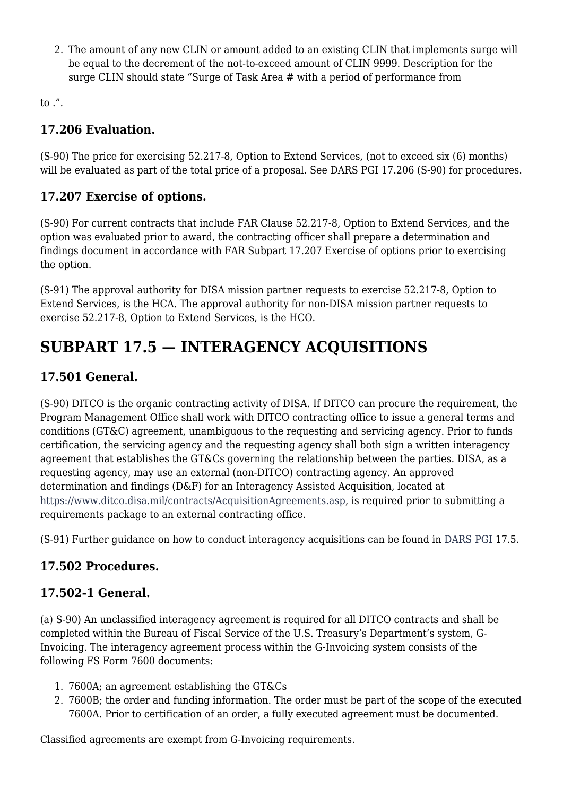2. The amount of any new CLIN or amount added to an existing CLIN that implements surge will be equal to the decrement of the not-to-exceed amount of CLIN 9999. Description for the surge CLIN should state "Surge of Task Area # with a period of performance from

to .".

#### **17.206 Evaluation.**

(S-90) The price for exercising 52.217-8, Option to Extend Services, (not to exceed six (6) months) will be evaluated as part of the total price of a proposal. See DARS PGI 17.206 (S-90) for procedures.

## **17.207 Exercise of options.**

(S-90) For current contracts that include FAR Clause 52.217-8, Option to Extend Services, and the option was evaluated prior to award, the contracting officer shall prepare a determination and findings document in accordance with FAR Subpart 17.207 Exercise of options prior to exercising the option.

(S-91) The approval authority for DISA mission partner requests to exercise 52.217-8, Option to Extend Services, is the HCA. The approval authority for non-DISA mission partner requests to exercise 52.217-8, Option to Extend Services, is the HCO.

# **SUBPART 17.5 — INTERAGENCY ACQUISITIONS**

## **17.501 General.**

(S-90) DITCO is the organic contracting activity of DISA. If DITCO can procure the requirement, the Program Management Office shall work with DITCO contracting office to issue a general terms and conditions (GT&C) agreement, unambiguous to the requesting and servicing agency. Prior to funds certification, the servicing agency and the requesting agency shall both sign a written interagency agreement that establishes the GT&Cs governing the relationship between the parties. DISA, as a requesting agency, may use an external (non-DITCO) contracting agency. An approved determination and findings (D&F) for an Interagency Assisted Acquisition, located at <https://www.ditco.disa.mil/contracts/AcquisitionAgreements.asp>, is required prior to submitting a requirements package to an external contracting office.

(S-91) Further guidance on how to conduct interagency acquisitions can be found in [DARS PGI](https://disa.deps.mil/org/PL2/Pages/DITCORefs.aspx) 17.5.

## **17.502 Procedures.**

#### **17.502-1 General.**

(a) S-90) An unclassified interagency agreement is required for all DITCO contracts and shall be completed within the Bureau of Fiscal Service of the U.S. Treasury's Department's system, G-Invoicing. The interagency agreement process within the G-Invoicing system consists of the following FS Form 7600 documents:

- 1. 7600A; an agreement establishing the GT&Cs
- 2. 7600B; the order and funding information. The order must be part of the scope of the executed 7600A. Prior to certification of an order, a fully executed agreement must be documented.

Classified agreements are exempt from G-Invoicing requirements.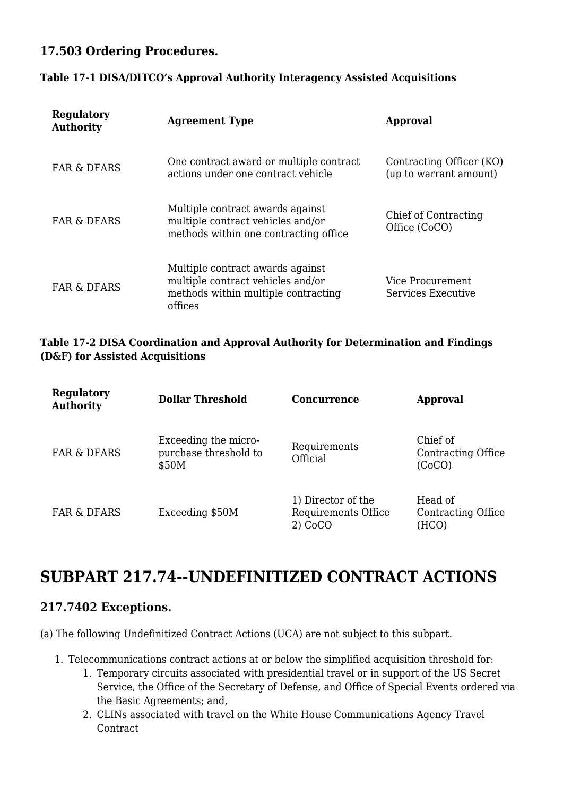#### **17.503 Ordering Procedures.**

#### **Table 17-1 DISA/DITCO's Approval Authority Interagency Assisted Acquisitions**

| Regulatory<br><b>Authority</b> | <b>Agreement Type</b>                                                                                                   | <b>Approval</b>                                    |
|--------------------------------|-------------------------------------------------------------------------------------------------------------------------|----------------------------------------------------|
| <b>FAR &amp; DFARS</b>         | One contract award or multiple contract<br>actions under one contract vehicle                                           | Contracting Officer (KO)<br>(up to warrant amount) |
| <b>FAR &amp; DFARS</b>         | Multiple contract awards against<br>multiple contract vehicles and/or<br>methods within one contracting office          | Chief of Contracting<br>Office (CoCO)              |
| <b>FAR &amp; DFARS</b>         | Multiple contract awards against<br>multiple contract vehicles and/or<br>methods within multiple contracting<br>offices | Vice Procurement<br>Services Executive             |

#### **Table 17-2 DISA Coordination and Approval Authority for Determination and Findings (D&F) for Assisted Acquisitions**

| Regulatory<br><b>Authority</b> | <b>Dollar Threshold</b>                                | <b>Concurrence</b>                                     | <b>Approval</b>                          |
|--------------------------------|--------------------------------------------------------|--------------------------------------------------------|------------------------------------------|
| <b>FAR &amp; DFARS</b>         | Exceeding the micro-<br>purchase threshold to<br>\$50M | Requirements<br>Official                               | Chief of<br>Contracting Office<br>(CoCO) |
| <b>FAR &amp; DFARS</b>         | Exceeding \$50M                                        | 1) Director of the<br>Requirements Office<br>$2)$ CoCO | Head of<br>Contracting Office<br>(HCO)   |

# **SUBPART 217.74--UNDEFINITIZED CONTRACT ACTIONS**

#### **217.7402 Exceptions.**

(a) The following Undefinitized Contract Actions (UCA) are not subject to this subpart.

- 1. Telecommunications contract actions at or below the simplified acquisition threshold for:
	- 1. Temporary circuits associated with presidential travel or in support of the US Secret Service, the Office of the Secretary of Defense, and Office of Special Events ordered via the Basic Agreements; and,
	- 2. CLINs associated with travel on the White House Communications Agency Travel Contract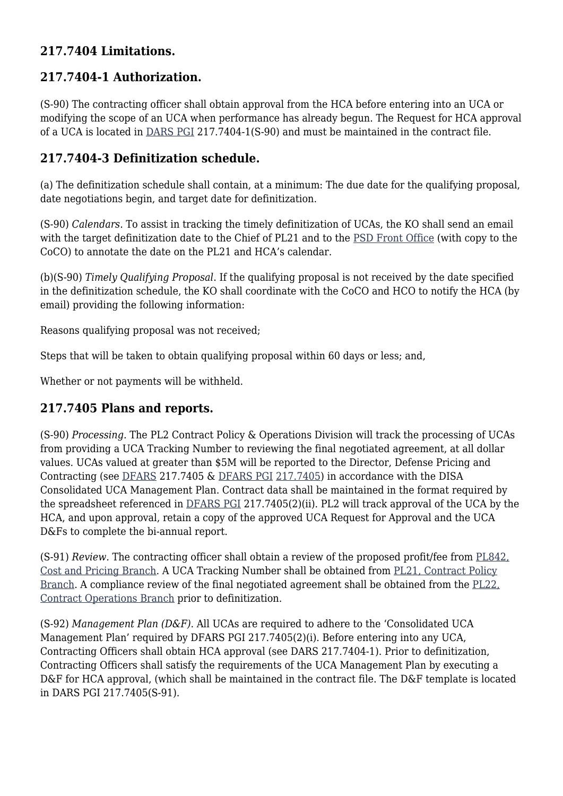#### **217.7404 Limitations.**

## **217.7404-1 Authorization.**

(S-90) The contracting officer shall obtain approval from the HCA before entering into an UCA or modifying the scope of an UCA when performance has already begun. The Request for HCA approval of a UCA is located in [DARS PGI](https://disa.deps.mil/org/PL2/Pages/DITCORefs.aspx) 217.7404-1(S-90) and must be maintained in the contract file.

#### **217.7404-3 Definitization schedule.**

(a) The definitization schedule shall contain, at a minimum: The due date for the qualifying proposal, date negotiations begin, and target date for definitization.

(S-90) *Calendars*. To assist in tracking the timely definitization of UCAs, the KO shall send an email with the target definitization date to the Chief of PL21 and to the [PSD Front Office](mailto:disa.meade.PLD.list.pld-front-office-staff@mail.mil) (with copy to the CoCO) to annotate the date on the PL21 and HCA's calendar.

(b)(S-90) *Timely Qualifying Proposal*. If the qualifying proposal is not received by the date specified in the definitization schedule, the KO shall coordinate with the CoCO and HCO to notify the HCA (by email) providing the following information:

Reasons qualifying proposal was not received;

Steps that will be taken to obtain qualifying proposal within 60 days or less; and,

Whether or not payments will be withheld.

## **217.7405 Plans and reports.**

(S-90) *Processing.* The PL2 Contract Policy & Operations Division will track the processing of UCAs from providing a UCA Tracking Number to reviewing the final negotiated agreement, at all dollar values. UCAs valued at greater than \$5M will be reported to the Director, Defense Pricing and Contracting (see [DFARS](https://www.acquisition.gov/dfars) 217.7405 & [DFARS PGI](https://www.acquisition.gov/dfarspgi) [217.7405](http://www.acq.osd.mil/dpap/dars/pgi/pgi_htm/PGI217_74.htm#217.7405)) in accordance with the DISA Consolidated UCA Management Plan. Contract data shall be maintained in the format required by the spreadsheet referenced in [DFARS PGI](http://www.acq.osd.mil/dpap/dars/pgi/pgi_htm/PGI217_74.htm#217.7405) 217.7405(2)(ii). PL2 will track approval of the UCA by the HCA, and upon approval, retain a copy of the approved UCA Request for Approval and the UCA D&Fs to complete the bi-annual report.

(S-91) *Review.* The contracting officer shall obtain a review of the proposed profit/fee from [PL842,](mailto:disa.scott.ditco.mbx.cost-and-pricing-branch-pl842@mail.mil) [Cost and Pricing Branch](mailto:disa.scott.ditco.mbx.cost-and-pricing-branch-pl842@mail.mil). A UCA Tracking Number shall be obtained from [PL21, Contract Policy](mailto:disa.meade.PLD.mbx.pl21-policy-branch@mail.mil) [Branch.](mailto:disa.meade.PLD.mbx.pl21-policy-branch@mail.mil) A compliance review of the final negotiated agreement shall be obtained from the [PL22,](mailto:disa.meade.PLD.mbx.pl22-policy-compliance-review@mail.mil) [Contract Operations Branch](mailto:disa.meade.PLD.mbx.pl22-policy-compliance-review@mail.mil) prior to definitization.

(S-92) *Management Plan (D&F)*. All UCAs are required to adhere to the 'Consolidated UCA Management Plan' required by DFARS PGI 217.7405(2)(i). Before entering into any UCA, Contracting Officers shall obtain HCA approval (see DARS 217.7404-1). Prior to definitization, Contracting Officers shall satisfy the requirements of the UCA Management Plan by executing a D&F for HCA approval, (which shall be maintained in the contract file. The D&F template is located in DARS PGI 217.7405(S-91).